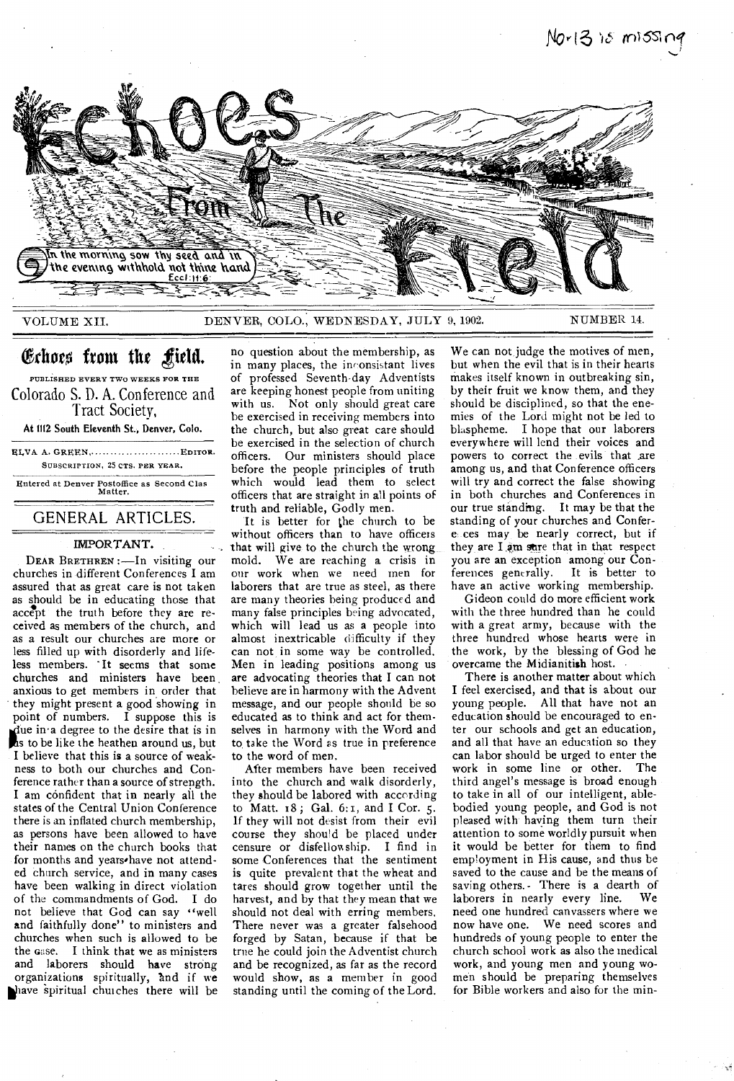

VOLUME XII.

DENVER, COLO., WEDNESDAY, JULY 9, 1902.

NUMBER 14.

 $NorB$  is missing

# Echoes from the <del>J</del>ield.

PUBLISHED EVERY TWO WEEKS FOR THE Colorado S. D. A. Conference and Tract Society,

At 1112 South Eleventh St., Denver, Colo.

|                                                        | ELVA A. GREEN EDITOR.           |  |
|--------------------------------------------------------|---------------------------------|--|
|                                                        | SUBSCRIPTION, 25 CTS. PER YEAR. |  |
| Entered at Denver Postoffice as Second Clas<br>Matter. |                                 |  |
|                                                        |                                 |  |

## GENERAL ARTICLES.

IMPORTANT.

DEAR BRETHREN :- In visiting our churches in different Conferences I am assured that as great care is not taken as should be in educating those that accept the truth before they are received as members of the church, and as a result our churches are more or less filled up with disorderly and lifeless members. It seems that some churches and ministers have been anxious to get members in order that they might present a good showing in point of numbers. I suppose this is due in a degree to the desire that is in as to be like the heathen around us, but I believe that this is a source of weakness to both our churches and Conference rather than a source of strength. I am confident that in nearly all the states of the Central Union Conference there is an inflated church membership, as persons have been allowed to have their names on the church books that for months and years have not attended church service, and in many cases have been walking in direct violation of the commandments of God. I do not believe that God can say "well and faithfully done" to ministers and churches when such is allowed to be the case. I think that we as ministers and laborers should have strong organizations spiritually, and if we have spiritual chuiches there will be

no question about the membership, as in many places, the inconsistant lives of professed Seventh-day Adventists are keeping honest people from uniting with us. Not only should great care be exercised in receiving members into the church, but also great care should be exercised in the selection of church officers. Our ministers should place before the people principles of truth which would lead them to select officers that are straight in all points of truth and reliable, Godly men.

It is better for the church to be without officers than to have officers that will give to the church the wrong mold. We are reaching a crisis in our work when we need men for laborers that are true as steel, as there are many theories being produced and many false principles being advocated, which will lead us as a people into almost inextricable difficulty if they can not in some way be controlled. Men in leading positions among us are advocating theories that I can not believe are in harmony with the Advent message, and our people should be so educated as to think and act for themselves in harmony with the Word and to take the Word as true in preference to the word of men.

After members have been received into the church and walk disorderly, they should be labored with according to Matt. 18; Gal. 6:1, and I Cor. 5. If they will not desist from their evil course they should be placed under censure or disfellowship. I find in some Conferences that the sentiment is quite prevalent that the wheat and tares should grow together until the harvest, and by that they mean that we should not deal with erring members. There never was a greater falsehood forged by Satan, because if that be true he could join the Adventist church and be recognized, as far as the record would show, as a member in good standing until the coming of the Lord.

We can not judge the motives of men, but when the evil that is in their hearts makes itself known in outbreaking sin, by their fruit we know them, and they should be disciplined, so that the enemies of the Lord might not be led to blaspheme. I hope that our laborers everywhere will lend their voices and powers to correct the evils that are among us, and that Conference officers will try and correct the false showing in both churches and Conferences in our true standing. It may be that the standing of your churches and Confere ces may be nearly correct, but if they are I am sure that in that respect you are an exception among our Conferences generally. It is better to have an active working membership.

Gideon could do more efficient work with the three hundred than he could with a great army, because with the three hundred whose hearts were in the work, by the blessing of God he overcame the Midianitish host.

There is another matter about which I feel exercised, and that is about our young people. All that have not an education should be encouraged to enter our schools and get an education, and all that have an education so they can labor should be urged to enter the work in some line or other. The third angel's message is broad enough to take in all of our intelligent, ablebodied young people, and God is not pleased with having them turn their attention to some worldly pursuit when it would be better for them to find employment in His cause, and thus be saved to the cause and be the means of saving others. There is a dearth of laborers in nearly every line. We need one hundred canvassers where we now have one. We need scores and hundreds of young people to enter the church school work as also the medical work, and young men and young women should be preparing themselves for Bible workers and also for the min-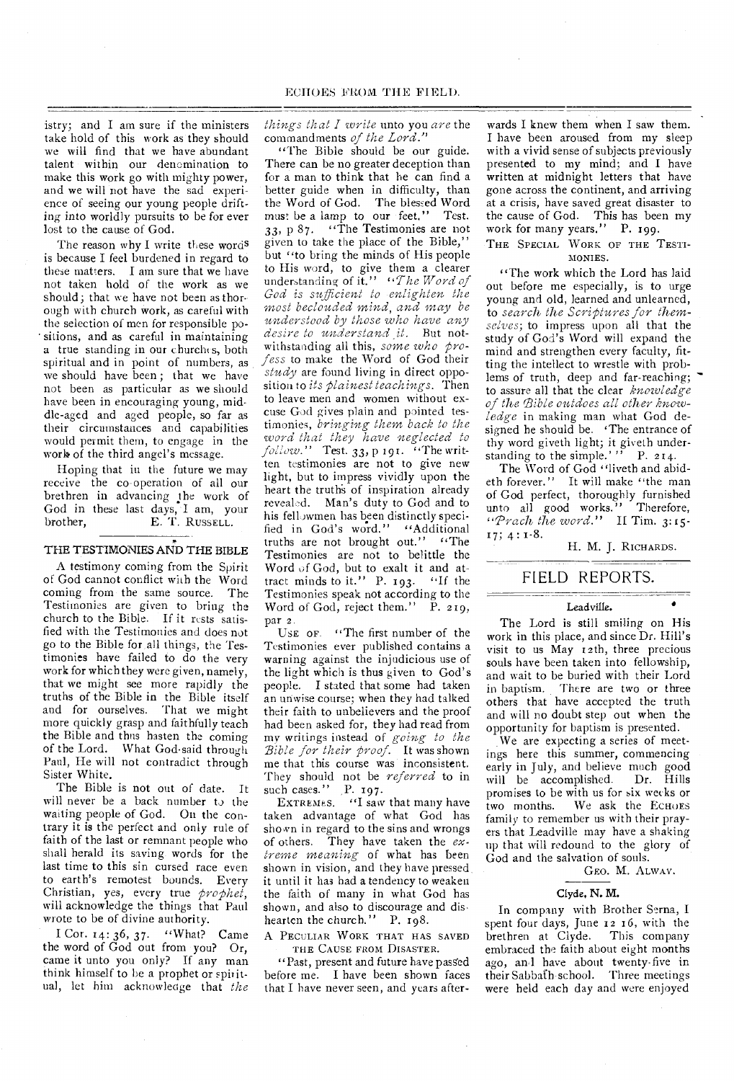istry; and I am sure if the ministers take hold of this work as they should we will find that we have abundant talent within our denomination to make this work go with mighty power, and we will not have the sad experience of seeing our young people drifting into worldly pursuits to be for ever lost to the cause of God.

The reason why I write these words is because I feel burdened in regard to these matters. I am sure that we have not taken hold of the work as we should; that we have not been as thor ough with church work, as careful with the selection of men for responsible positions, and as careful in maintaining a true standing in our churches, both spiritual and in point of numbers, as we should have been ; that we have not been as particular as we should have been in encouraging young, middle-aged and aged people, so far as their circumstances and capabilities would permit them, to engage in the work of the third angel's message.

Hoping that in the future we may receive the co-operation of all our brethren in advancing the work of God in these last days, I am, your brother, E. T. RUSSELL.

### THE TESTIMONIES AND THE BIBLE

A testimony coming from the Spirit of God cannot conflict wiih the Word coming from the same source. The Testimonies are given to bring the church to the Bible. If it rests satisfied with the Testimonies and does not go to the Bible for all things, the Testimonies have failed to do the very work for which they were given, namely, that we might see more rapidly the truths of the Bible in the Bible itself and for ourselves. That we might more quickly grasp and faithfully teach the Bible and thus hasten the coming of the Lord. What God•said through Paul, He will not contradict through Sister White.

The Bible is not out of date. It will never be a back number to the waiting people of God. On the contrary it is the perfect and only rule of faith of the last or remnant people who shall herald its saving words for the last time to this sin cursed race even to earth's remotest bounds. Every Christian, yes, every true *prophet,*  will acknowledge the things that Paul wrote to be of divine authority.

I Cor. 14: 36, 37. "What? Came the word of God out from you? Or, came it unto you only? If any man think himself to be a prophet or spiritual, let him acknowledge that *the* 

*things that I write* unto you *are* the commandments *of the Lord."* 

"The Bible should be our guide. There can be no greater deception than for a man to think that he can find a better guide when in difficulty, than the Word of God. The blessed Word must be a lamp to our feet." Test. 33, p 87. "The Testimonies are not given to take the place of the Bible," but "to bring the minds of His people to His word, to give them a clearer understanding of it." "The Word of *God is sufficient to enlighten the most beclouded mind, and may be understood by those who have any desire to understand it.* But notwithstanding all this, *some who pro*f*ess* to make the Word of God their *study* are found living in direct opposition to *its plainest teachings.* Then to leave men and women without excuse God gives plain and pointed testimonies, *bringing them back to the word that they have neglected to follow.''* Test. 33, p 19r. "The written testimonies are not to give new light, but to impress vividly upon the heart the truths of inspiration already revealed. Man's duty to God and to his fellowmen has been distinctly specified in God's word." "Additional truths are not brought out." "The Testimonies are not to belittle the Word of God, but to exalt it and attract minds to it." P. 193. "If the Testimonies speak not according to the Word of God, reject them."  $\overline{P}$ . 219, par 2.

USE OF. "The first number of the Testimonies ever published contains a warning against the injudicious use of the light which is thus given to God's people. I stated that some had taken an unwise course; when they had talked their faith to unbelievers and the proof had been asked for, they had read from my writings instead of *going to the Bible for their proof.* It was shown me that this course was inconsistent. They should not be *referred* to in such cases." P. 197.

EXTREMES. "I saw that many have taken advantage of what God has shown in regard to the sins and wrongs of others. They have taken the *extreme meaning* of what has been shown in vision, and they have pressed it until it has had a tendency to weaken the faith of many in what God has shown, and also to discourage and dishearten the church." P. 198.

A PECULIAR WORK THAT HAS SAVED THE CAUSE FROM DISASTER.

"Past, present and future have passed before me. I have been shown faces that I have never seen, and years after-

wards I knew them when I saw them. I have been aroused from my sleep with a vivid sense of subjects previously presented to my mind; and I have written at midnight letters that have gone across the continent, and arriving at a crisis, have saved great disaster to the cause of God. This has been my work for many years." P. 199.

THE SPECIAL WORK OF THE TESTI-MONIES.

'The work which the Lord has laid out before me especially, is to urge young and old, learned and unlearned, to *search the Scriptures for themselves;* to impress upon all that the study of God's Word will expand the mind and strengthen every faculty, fitting the intellect to wrestle with problems of truth, deep and far-reaching; to assure all that the clear *knowledge of the Bible outdoes all other knowledge* in making man what God designed he should be. 'The entrance of thy word giveth light; it giveth understanding to the simple.''' P. 214.

The Word of God "liveth and abideth forever." It will make "the man of God perfect, thoroughly furnished unto all good works." Therefore, *"Prach the word."* II Tim. 3:15-  $17; 4:1.8.$ 

H. M. J. RICHARDS.

## FIELD REPORTS.

### Leadville.

The Lord is still smiling on His work in this place, and since Dr. Hill's visit to us May 12th, three precious souls have been taken into fellowship, and wait to be buried with their Lord in baptism. There are two or three others that have accepted the truth and will no doubt step out when the opportunity for baptism is presented.

We are expecting a series of meetings here this summer, commencing early in July, and believe much good<br>will be accomplished. Dr. Hills will be accomplished. promises to be with us for six weeks or two months. We ask the ECHOES family to remember us with their prayers that Leadville may have a shaking up that will redound to the glory of God and the salvation of souls.

GEO. M. ALWAV.

### Clyde, N. M.

In company with Brother Serna, I spent four days, June 12 16, with the brethren at Clyde. This company embraced the faith about eight months ago, and have about twenty-five in their Sabbath-school. Three meetings were held each day and were enjoyed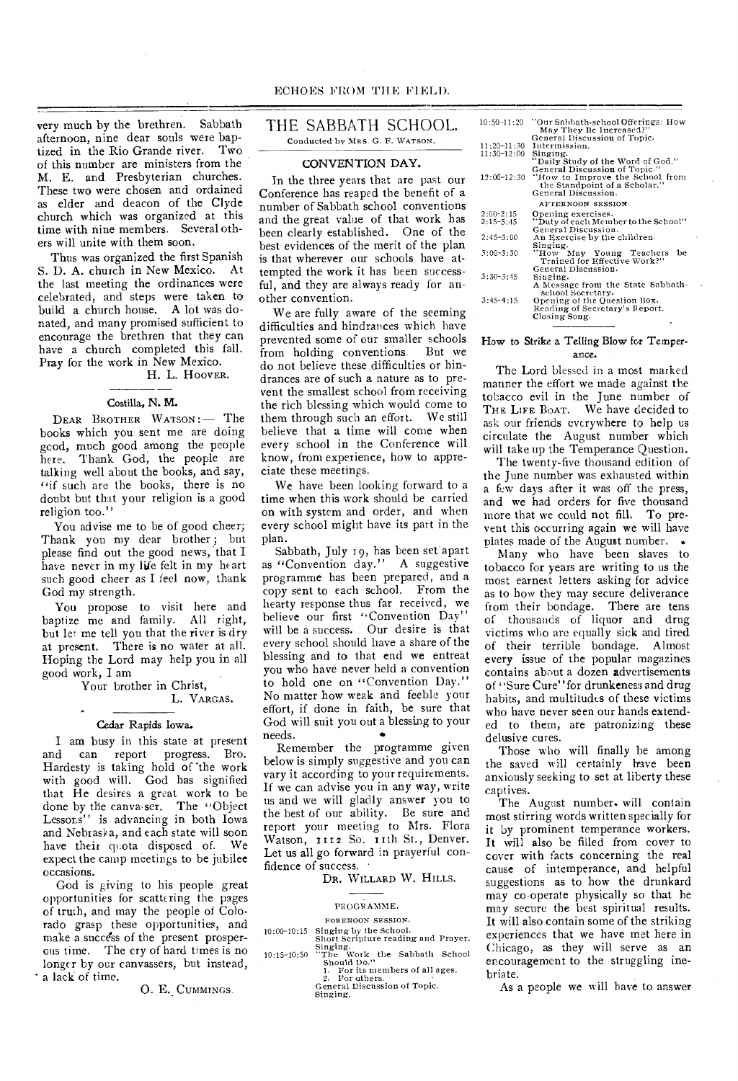very much by the brethren. Sabbath afternoon, nine dear souls were bap-<br>tized in the Rio Grande river. Two tized in the Rio Grande river. of this number are ministers from the M. E. and Presbyterian churches. These two were chosen and ordained as elder and deacon of the Clyde church which was organized at this time with nine members. Several others will unite with them soon.

Thus was organized the first Spanish S. D. A. church in New Mexico. At the last meeting the ordinances were celebrated, and steps were taken to build a church house. A lot was donated, and many promised sufficient to encourage the brethren that they can have a church completed this fall. Pray for the work in New Mexico.

H. L. HOOVER.

### Costilla, N. M.

DEAR BROTHER WATSON;— The books which you sent me are doing gcod, much good among the people here. Thank God, the people are talking well about the books, and say, "if such are the books, there is no doubt but that your religion is a good religion too."

You advise me to be of good cheer; Thank you my dear brother; but please find out the good news, that I have never in my life felt in my heart such good cheer as I feel now, thank God my strength.

You propose to visit here and baptize me and family. All right, but let me tell you that the river is dry at present. There is no water at all. Hoping the Lord may help you in all good work, I am

Your brother in Christ,

# L. VARGAS.

#### Cedar Rapids Iowa.

I am busy in this state at present<br>and can report progress. Bro. can report progress. Bro. Hardesty is taking hold of the work with good will. God has signified that He desires a great work to be done by the canva-ser. The "Object Lessons" is advancing in both Iowa and Nebraska, and each state will soon have their quota disposed of. We expect the camp meetings to be jubilee occasions.

God is giving to his people great opportunities for scattering the pages of truth, and may the people of Colorado grasp these opportunities, and make a success of the present prosperous time. The cry of hard times is no longer by our canvassers, but instead, a lack of time.

0. E. CUMMINGS.

# THE SABBATH SCHOOL.

Conducted by MRS. G. F. WATSON.

### CONVENTION DAY.

In the three years that are past our Conference has reaped the benefit of a number of Sabbath school conventions and the great value of that work has been clearly established. One of the best evidences of the merit of the plan is that wherever our schools have attempted the work it has been successful, and they are always ready for another convention.

We are fully aware of the seeming difficulties and hindrances which have prevented some of our smaller schools<br>from holding conventions. But we from holding conventions. do not believe these difficulties or hindrances are of such a nature as to prevent the smallest school from receiving the rich blessing which would come to them through such an effort. We still believe that a time will come when every school in the Conference will know, from experience, how to appreciate these meetings.

We have been looking forward to a time when this work should be carried on with system and order, and when every school might have its pant in the plan.

Sabbath, July 19, has been set apart as "Convention day." A suggestive programme has been prepared, and a copy sent to each school. From the hearty response thus far received, we believe our first "Convention Day" will be a success. Our desire is that every school should have a share of the blessing and to that end we entreat you who have never held a convention to hold one on "Convention Day." No matter how weak and feeble your effort, if done in faith, be sure that God will suit you out a blessing to your needs.

Remember the programme given below is simply suggestive and you can vary it according to your requirements. If we can advise you in any way, write us and we will gladly answer you to the best of our ability. Be sure and report your meeting to Mrs. Flora Watson, 1112 So. 11th St., Denver. Let us all go forward in prayerful confidence of success.

DR. WILLARD W. HILLS.

PROGRAMME.

- FORENOON SESSION-10:00-10:15 Singingby the School. Short Scripture reading and Prayer.
	-
- Singing.<br>
10:15-10:50 The Work the Sabbath School<br>
1. For its members of all ages.<br>
2. For its members of all ages.<br>
2. For others.<br>
General Discussion of Topic.<br>
Singing.
	- -

| 10:50-11:20     | "Our Sabbath-school Offerings: How<br>May They Be Increased?"    |
|-----------------|------------------------------------------------------------------|
|                 | General Discussion of Topic.                                     |
| $11;20-11:30$   | Intermission.                                                    |
| $11:30-12:00$   | Singing.                                                         |
|                 | "Daily Study of the Word of God."                                |
|                 | General Discussion of Topic.''                                   |
| $12:00 - 12:30$ | "How to Improve the School from<br>the Standpoint of a Scholar." |
|                 | General Discussion.                                              |
|                 | AFTERNOON SESSION.                                               |
| $2:00 - 2:15$   | Opening exercises.                                               |
| $2:15 - 5:45$   | ''Duty of each Member to the School''                            |
|                 | General Discussion.                                              |
| $2:45 - 3:00$   | An Exercise by the children.                                     |
|                 | Singing.                                                         |
| $3:00 - 3:30$   | "How May Young Teachers"<br>be                                   |
|                 | Trained for Effective Work?"                                     |
|                 | General Discussion.                                              |
| $3:30 - 3:45$   | Singing.                                                         |
|                 | A Message from the State Sabbath-                                |
|                 | school Secretary.                                                |
| $3:45 - 4:15$   | Opening of the Question Box.                                     |
|                 | Reading of Secretary's Report.                                   |
|                 | Closing Song.                                                    |
|                 |                                                                  |

#### How to Strike a Telling Blow for Temperance.

The Lord blessed in a most marked manner the effort we made against the tobacco evil in the June number of THE LIFE BOAT. We have decided to ask our friends everywhere to help us circulate the August number which will take up the Temperance Question.

The twenty-five thousand edition of the June number was exhausted within a few days after it was off the press, and we had orders for five thousand more that we could not fill. To prevent this occurring again we will have plates made of the August number.

Many who have been slaves to tobacco for years are writing to us the most earnest letters asking for advice as to how they may secure deliverance from their bondage. There are tens of thousands of liquor and drug victims who are equally sick and tired of their terrible bondage. Almost every issue of the popular magazines contains about a dozen advertisements of "Sure Cure" for drunkeness and drug habits, and multitudes of these victims who have never seen our hands extended to them, are patronizing these delusive cures.

Those who will finally be among the saved will certainly have been anxiously seeking to set at liberty these captives.

The August number. will contain most stirring words written specially for it by prominent temperance workers. It will also be filled from cover to cover with facts concerning the real cause of intemperance, and helpful suggestions as to how the drunkard may co-operate physically so that he may secure the best spiritual results. It will also contain some of the striking experiences that we have met here in Chicago, as they will serve as an encouragement to the struggling inebriate.

As a people we will have to answer